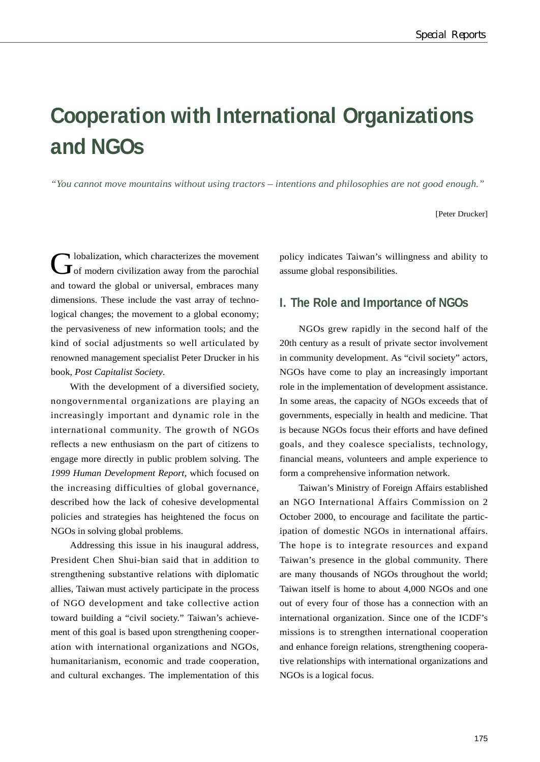# **Cooperation with International Organizations and NGOs**

*"You cannot move mountains without using tractors – intentions and philosophies are not good enough."*

[Peter Drucker]

Olobalization, which characterizes the movement<br>
of modern civilization away from the parochial and toward the global or universal, embraces many dimensions. These include the vast array of technological changes; the movement to a global economy; the pervasiveness of new information tools; and the kind of social adjustments so well articulated by renowned management specialist Peter Drucker in his book, *Post Capitalist Society*.

With the development of a diversified society, nongovernmental organizations are playing an increasingly important and dynamic role in the international community. The growth of NGOs reflects a new enthusiasm on the part of citizens to engage more directly in public problem solving. The *1999 Human Development Report*, which focused on the increasing difficulties of global governance, described how the lack of cohesive developmental policies and strategies has heightened the focus on NGOs in solving global problems.

Addressing this issue in his inaugural address, President Chen Shui-bian said that in addition to strengthening substantive relations with diplomatic allies, Taiwan must actively participate in the process of NGO development and take collective action toward building a "civil society." Taiwan's achievement of this goal is based upon strengthening cooperation with international organizations and NGOs, humanitarianism, economic and trade cooperation, and cultural exchanges. The implementation of this

policy indicates Taiwan's willingness and ability to assume global responsibilities.

### **I. The Role and Importance of NGOs**

NGOs grew rapidly in the second half of the 20th century as a result of private sector involvement in community development. As "civil society" actors, NGOs have come to play an increasingly important role in the implementation of development assistance. In some areas, the capacity of NGOs exceeds that of governments, especially in health and medicine. That is because NGOs focus their efforts and have defined goals, and they coalesce specialists, technology, financial means, volunteers and ample experience to form a comprehensive information network.

Taiwan's Ministry of Foreign Affairs established an NGO International Affairs Commission on 2 October 2000, to encourage and facilitate the participation of domestic NGOs in international affairs. The hope is to integrate resources and expand Taiwan's presence in the global community. There are many thousands of NGOs throughout the world; Taiwan itself is home to about 4,000 NGOs and one out of every four of those has a connection with an international organization. Since one of the ICDF's missions is to strengthen international cooperation and enhance foreign relations, strengthening cooperative relationships with international organizations and NGOs is a logical focus.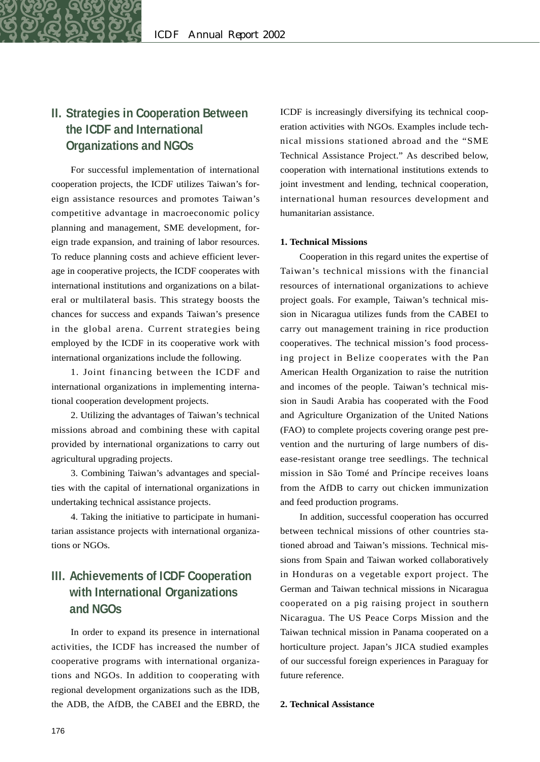# **II. Strategies in Cooperation Between the ICDF and International Organizations and NGOs**

For successful implementation of international cooperation projects, the ICDF utilizes Taiwan's foreign assistance resources and promotes Taiwan's competitive advantage in macroeconomic policy planning and management, SME development, foreign trade expansion, and training of labor resources. To reduce planning costs and achieve efficient leverage in cooperative projects, the ICDF cooperates with international institutions and organizations on a bilateral or multilateral basis. This strategy boosts the chances for success and expands Taiwan's presence in the global arena. Current strategies being employed by the ICDF in its cooperative work with international organizations include the following.

1. Joint financing between the ICDF and international organizations in implementing international cooperation development projects.

2. Utilizing the advantages of Taiwan's technical missions abroad and combining these with capital provided by international organizations to carry out agricultural upgrading projects.

3. Combining Taiwan's advantages and specialties with the capital of international organizations in undertaking technical assistance projects.

4. Taking the initiative to participate in humanitarian assistance projects with international organizations or NGOs.

# **III. Achievements of ICDF Cooperation with International Organizations and NGOs**

In order to expand its presence in international activities, the ICDF has increased the number of cooperative programs with international organizations and NGOs. In addition to cooperating with regional development organizations such as the IDB, the ADB, the AfDB, the CABEI and the EBRD, the ICDF is increasingly diversifying its technical cooperation activities with NGOs. Examples include technical missions stationed abroad and the "SME Technical Assistance Project." As described below, cooperation with international institutions extends to joint investment and lending, technical cooperation, international human resources development and humanitarian assistance.

#### **1. Technical Missions**

Cooperation in this regard unites the expertise of Taiwan's technical missions with the financial resources of international organizations to achieve project goals. For example, Taiwan's technical mission in Nicaragua utilizes funds from the CABEI to carry out management training in rice production cooperatives. The technical mission's food processing project in Belize cooperates with the Pan American Health Organization to raise the nutrition and incomes of the people. Taiwan's technical mission in Saudi Arabia has cooperated with the Food and Agriculture Organization of the United Nations (FAO) to complete projects covering orange pest prevention and the nurturing of large numbers of disease-resistant orange tree seedlings. The technical mission in São Tomé and Príncipe receives loans from the AfDB to carry out chicken immunization and feed production programs.

In addition, successful cooperation has occurred between technical missions of other countries stationed abroad and Taiwan's missions. Technical missions from Spain and Taiwan worked collaboratively in Honduras on a vegetable export project. The German and Taiwan technical missions in Nicaragua cooperated on a pig raising project in southern Nicaragua. The US Peace Corps Mission and the Taiwan technical mission in Panama cooperated on a horticulture project. Japan's JICA studied examples of our successful foreign experiences in Paraguay for future reference.

#### **2. Technical Assistance**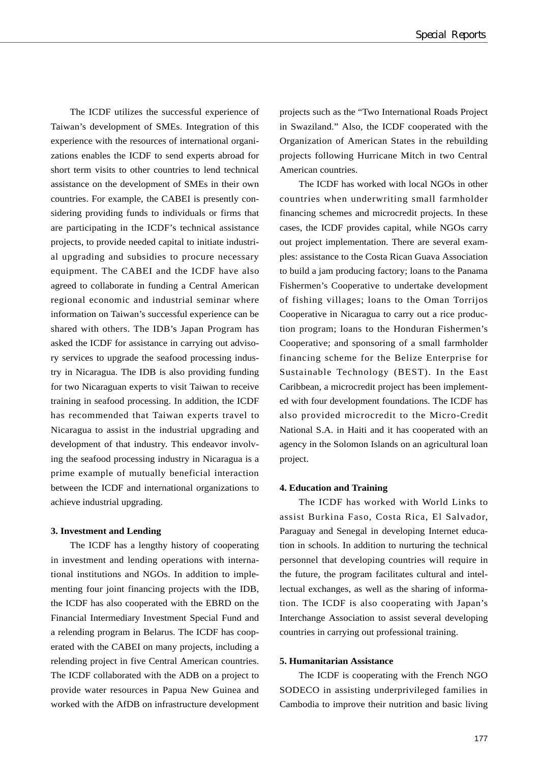The ICDF utilizes the successful experience of Taiwan's development of SMEs. Integration of this experience with the resources of international organizations enables the ICDF to send experts abroad for short term visits to other countries to lend technical assistance on the development of SMEs in their own countries. For example, the CABEI is presently considering providing funds to individuals or firms that are participating in the ICDF's technical assistance projects, to provide needed capital to initiate industrial upgrading and subsidies to procure necessary equipment. The CABEI and the ICDF have also agreed to collaborate in funding a Central American regional economic and industrial seminar where information on Taiwan's successful experience can be shared with others. The IDB's Japan Program has asked the ICDF for assistance in carrying out advisory services to upgrade the seafood processing industry in Nicaragua. The IDB is also providing funding for two Nicaraguan experts to visit Taiwan to receive training in seafood processing. In addition, the ICDF has recommended that Taiwan experts travel to Nicaragua to assist in the industrial upgrading and development of that industry. This endeavor involving the seafood processing industry in Nicaragua is a prime example of mutually beneficial interaction between the ICDF and international organizations to achieve industrial upgrading.

#### **3. Investment and Lending**

The ICDF has a lengthy history of cooperating in investment and lending operations with international institutions and NGOs. In addition to implementing four joint financing projects with the IDB, the ICDF has also cooperated with the EBRD on the Financial Intermediary Investment Special Fund and a relending program in Belarus. The ICDF has cooperated with the CABEI on many projects, including a relending project in five Central American countries. The ICDF collaborated with the ADB on a project to provide water resources in Papua New Guinea and worked with the AfDB on infrastructure development

projects such as the "Two International Roads Project in Swaziland." Also, the ICDF cooperated with the Organization of American States in the rebuilding projects following Hurricane Mitch in two Central American countries.

The ICDF has worked with local NGOs in other countries when underwriting small farmholder financing schemes and microcredit projects. In these cases, the ICDF provides capital, while NGOs carry out project implementation. There are several examples: assistance to the Costa Rican Guava Association to build a jam producing factory; loans to the Panama Fishermen's Cooperative to undertake development of fishing villages; loans to the Oman Torrijos Cooperative in Nicaragua to carry out a rice production program; loans to the Honduran Fishermen's Cooperative; and sponsoring of a small farmholder financing scheme for the Belize Enterprise for Sustainable Technology (BEST). In the East Caribbean, a microcredit project has been implemented with four development foundations. The ICDF has also provided microcredit to the Micro-Credit National S.A. in Haiti and it has cooperated with an agency in the Solomon Islands on an agricultural loan project.

#### **4. Education and Training**

The ICDF has worked with World Links to assist Burkina Faso, Costa Rica, El Salvador, Paraguay and Senegal in developing Internet education in schools. In addition to nurturing the technical personnel that developing countries will require in the future, the program facilitates cultural and intellectual exchanges, as well as the sharing of information. The ICDF is also cooperating with Japan's Interchange Association to assist several developing countries in carrying out professional training.

#### **5. Humanitarian Assistance**

The ICDF is cooperating with the French NGO SODECO in assisting underprivileged families in Cambodia to improve their nutrition and basic living